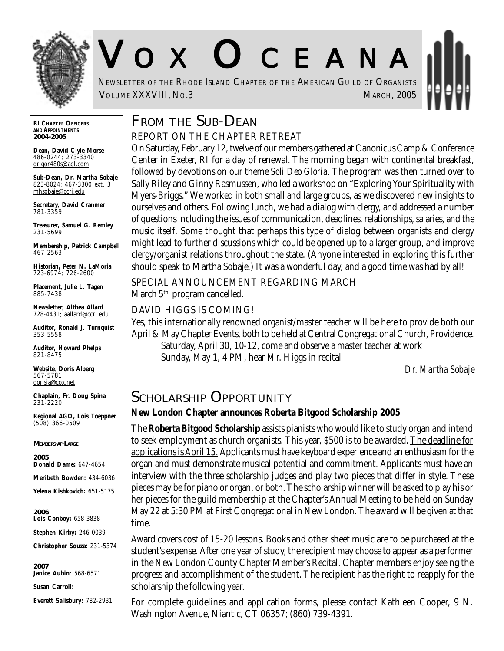

# V O X O CEANA

NEWSLETTER OF THE RHODE ISLAND CHAPTER OF THE AMERICAN GUILD OF ORGANISTS **VOLUME XXXVIII, NO.3** MARCH, 2005

## **FROM THE SUB-DEAN**

#### REPORT ON THE CHAPTER RETREAT

On Saturday, February 12, twelve of our members gathered at Canonicus Camp & Conference Center in Exeter, RI for a day of renewal. The morning began with continental breakfast, followed by devotions on our theme *Soli Deo Gloria.* The program was then turned over to Sally Riley and Ginny Rasmussen, who led a workshop on "Exploring Your Spirituality with Myers-Briggs." We worked in both small and large groups, as we discovered new insights to ourselves and others. Following lunch, we had a dialog with clergy, and addressed a number of questions including the issues of communication, deadlines, relationships, salaries, and the music itself. Some thought that perhaps this type of dialog between organists and clergy might lead to further discussions which could be opened up to a larger group, and improve clergy/organist relations throughout the state. (Anyone interested in exploring this further should speak to Martha Sobaje.) It was a wonderful day, and a good time was had by all!

SPECIAL ANNOUNCEMENT REGARDING MARCH March 5<sup>th</sup> program cancelled.

#### DAVID HIGGS IS COMING!

Yes, this internationally renowned organist/master teacher will be here to provide both our April & May Chapter Events, both to be held at Central Congregational Church, Providence. Saturday, April 30, 10-12, come and observe a master teacher at work Sunday, May 1, 4 PM, hear Mr. Higgs in recital

*Dr. Martha Sobaje*

### **SCHOLARSHIP OPPORTUNITY**

### **New London Chapter announces Roberta Bitgood Scholarship 2005**

The **Roberta Bitgood Scholarship** assists pianists who would like to study organ and intend to seek employment as church organists. This year, \$500 is to be awarded. The deadline for applications is April 15. Applicants must have keyboard experience and an enthusiasm for the organ and must demonstrate musical potential and commitment. Applicants must have an interview with the three scholarship judges and play two pieces that differ in style. These pieces may be for piano or organ, or both. The scholarship winner will be asked to play his or her pieces for the guild membership at the Chapter's Annual Meeting to be held on Sunday May 22 at 5:30 PM at First Congregational in New London. The award will be given at that time.

Award covers cost of 15-20 lessons. Books and other sheet music are to be purchased at the student's expense. After one year of study, the recipient may choose to appear as a performer in the New London County Chapter Member's Recital. Chapter members enjoy seeing the progress and accomplishment of the student. The recipient has the right to reapply for the scholarship the following year.

For complete guidelines and application forms, please contact Kathleen Cooper, 9 N. Washington Avenue, Niantic, CT 06357; (860) 739-4391.

**RI CHAPTER OFFICERS AND APPOINTMENTS** *2004-2005*

**Dean, David Clyle Morse** 486-0244; 273-3340 drigor480s@aol.com

**Sub-Dean, Dr. Martha Sobaje** 823-8024; 467-3300 ext. 3 mhsobaje@ccri.edu

**Secretary, David Cranmer** 781-3359

**Treasurer, Samuel G. Remley** 231-5699

**Membership, Patrick Campbell** 467-2563

**Historian, Peter N. LaMoria** 723-6974; 726-2600

**Placement, Julie L. Tagen** 885-7438

**Newsletter, Althea Allard** 728-4431; aallard@ccri.edu

**Auditor, Ronald J. Turnquist** 353-5558

**Auditor, Howard Phelps** 821-8475

**Website**, **Doris Alberg** 567-5781 dorisja@cox.net

**Chaplain, Fr. Doug Spina** 231-2220

**Regional AGO, Lois Toeppner** (508) 366-0509

*MEMBERS-AT-LARGE*

*2005* **Donald Dame:** 647-4654

**Meribeth Bowden:** 434-6036

**Yelena Kishkovich:** 651-5175

*2006* **Lois Conboy:** 658-3838

**Stephen Kirby:** 246-0039

**Christopher Souza:** 231-5374

*2007* **Janice Aubin**: 568-6571

**Susan Carroll:**

**Everett Salisbury:** 782-2931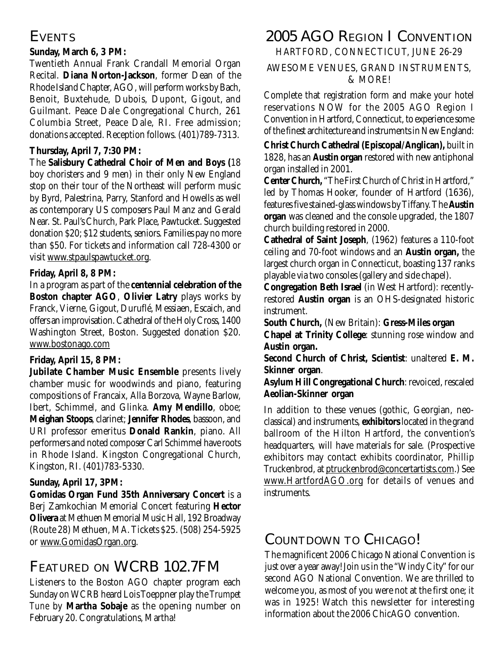# **EVENTS**

#### **Sunday, March 6, 3 PM:**

Twentieth Annual Frank Crandall Memorial Organ Recital. **Diana Norton-Jackson**, former Dean of the Rhode Island Chapter, AGO, will perform works by Bach, Benoit, Buxtehude, Dubois, Dupont, Gigout, and Guilmant. Peace Dale Congregational Church, 261 Columbia Street, Peace Dale, RI. Free admission; donations accepted. Reception follows. (401)789-7313.

### **Thursday, April 7, 7:30 PM:**

The **Salisbury Cathedral Choir of Men and Boys (**18 boy choristers and 9 men) in their only New England stop on their tour of the Northeast will perform music by Byrd, Palestrina, Parry, Stanford and Howells as well as contemporary US composers Paul Manz and Gerald Near. St. Paul's Church, Park Place, Pawtucket. Suggested donation \$20; \$12 students, seniors. Families pay no more than \$50. For tickets and information call 728-4300 or visit www.stpaulspawtucket.org.

### **Friday, April 8, 8 PM:**

In a program as part of the **centennial celebration of the Boston chapter AGO**, **Olivier Latry** plays works by Franck, Vierne, Gigout, Duruflé, Messiaen, Escaich, and offers an improvisation. Cathedral of the Holy Cross, 1400 Washington Street, Boston. Suggested donation \$20. www.bostonago.com

### **Friday, April 15, 8 PM:**

**Jubilate Chamber Music Ensemble** presents lively chamber music for woodwinds and piano, featuring compositions of Francaix, Alla Borzova, Wayne Barlow, Ibert, Schimmel, and Glinka. **Amy Mendillo**, oboe; **Meighan Stoops**, clarinet; **Jennifer Rhodes**, bassoon, and URI professor emeritus **Donald Rankin**, piano. All performers and noted composer Carl Schimmel have roots in Rhode Island. Kingston Congregational Church, Kingston, RI. (401)783-5330.

### **Sunday, April 17, 3PM:**

**Gomidas Organ Fund 35th Anniversary Concert** is a Berj Zamkochian Memorial Concert featuring **Hector Olivera** at Methuen Memorial Music Hall, 192 Broadway (Route 28) Methuen, MA. Tickets \$25. (508) 254-5925 or www.GomidasOrgan.org.

# **FEATURED ON WCRB 102.7FM**

Listeners to the Boston AGO chapter program each Sunday on WCRB heard Lois Toeppner play the *Trumpet Tune* by **Martha Sobaje** as the opening number on February 20. Congratulations, Martha!

# **2005 AGO REGION I CONVENTION**

HARTFORD, CONNECTICUT, JUNE 26-29

#### AWESOME VENUES, GRAND INSTRUMENTS, & MORE!

Complete that registration form and make your hotel reservations NOW for the 2005 AGO Region I Convention in Hartford, Connecticut, to experience some of the finest architecture and instruments in New England:

**Christ Church Cathedral (Episcopal/Anglican),** built in 1828, has an **Austin organ** restored with new antiphonal organ installed in 2001.

**Center Church,** "The First Church of Christ in Hartford," led by Thomas Hooker, founder of Hartford (1636), features five stained-glass windows by Tiffany. The **Austin organ** was cleaned and the console upgraded, the 1807 church building restored in 2000.

**Cathedral of Saint Joseph**, (1962) features a 110-foot ceiling and 70-foot windows and an **Austin organ,** the largest church organ in Connecticut, boasting 137 ranks playable via two consoles (gallery and side chapel).

**Congregation Beth Israel** (in West Hartford)*:* recentlyrestored **Austin organ** is an OHS-designated historic instrument.

**South Church,** (New Britain): **Gress-Miles organ**

**Chapel at Trinity College**: stunning rose window and **Austin organ.**

**Second Church of Christ, Scientist**: unaltered **E. M. Skinner organ**.

**Asylum Hill Congregational Church**: revoiced, rescaled **Aeolian-Skinner organ**

In addition to these venues (gothic, Georgian, neoclassical) and instruments, **exhibitors** located in the grand ballroom of the Hilton Hartford, the convention's headquarters, will have materials for sale. (Prospective exhibitors may contact exhibits coordinator, Phillip Truckenbrod, at ptruckenbrod@concertartists.com.) See www.HartfordAGO.org for details of venues and instruments.

# **COUNTDOWN TO CHICAGO!**

The magnificent 2006 Chicago National Convention is just over a year away! Join us in the "Windy City" for our second AGO National Convention. We are thrilled to welcome you, as most of you were not at the first one; it was in 1925! Watch this newsletter for interesting information about the 2006 ChicAGO convention.